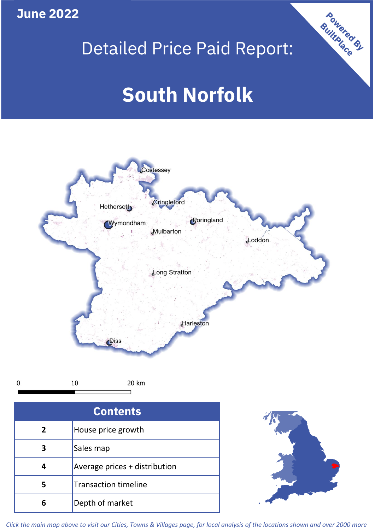## **June 2022**

## Detailed Price Paid Report:

# **South Norfolk**



 $\mathbf 0$ 

20 km

| <b>Contents</b> |                               |  |  |
|-----------------|-------------------------------|--|--|
| $\mathbf{2}$    | House price growth            |  |  |
|                 | Sales map                     |  |  |
|                 | Average prices + distribution |  |  |
| 5               | <b>Transaction timeline</b>   |  |  |
|                 | Depth of market               |  |  |



Powered By

*Click the main map above to visit our Cities, Towns & Villages page, for local analysis of the locations shown and over 2000 more*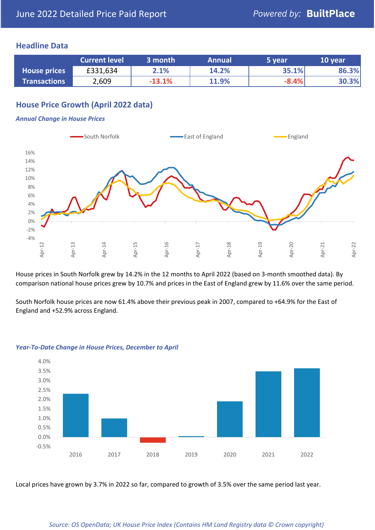#### **Headline Data**

|                     | <b>Current level</b> | 3 month  | <b>Annual</b> | 5 year  | 10 year |
|---------------------|----------------------|----------|---------------|---------|---------|
| <b>House prices</b> | £331,634             | 2.1%     | 14.2%         | 35.1%   | 86.3%   |
| <b>Transactions</b> | 2,609                | $-13.1%$ | 11.9%         | $-8.4%$ | 30.3%   |

## **House Price Growth (April 2022 data)**

#### *Annual Change in House Prices*



House prices in South Norfolk grew by 14.2% in the 12 months to April 2022 (based on 3-month smoothed data). By comparison national house prices grew by 10.7% and prices in the East of England grew by 11.6% over the same period.

South Norfolk house prices are now 61.4% above their previous peak in 2007, compared to +64.9% for the East of England and +52.9% across England.



#### *Year-To-Date Change in House Prices, December to April*

Local prices have grown by 3.7% in 2022 so far, compared to growth of 3.5% over the same period last year.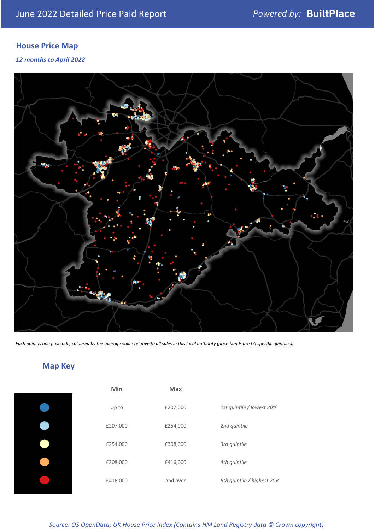## **House Price Map**

#### *12 months to April 2022*



*Each point is one postcode, coloured by the average value relative to all sales in this local authority (price bands are LA-specific quintiles).*

## **Map Key**

| Min      | <b>Max</b> |                            |
|----------|------------|----------------------------|
| Up to    | £207,000   | 1st quintile / lowest 20%  |
| £207,000 | £254,000   | 2nd quintile               |
| £254,000 | £308,000   | 3rd quintile               |
| £308,000 | £416,000   | 4th quintile               |
| £416,000 | and over   | 5th quintile / highest 20% |

#### *Source: OS OpenData; UK House Price Index (Contains HM Land Registry data © Crown copyright)*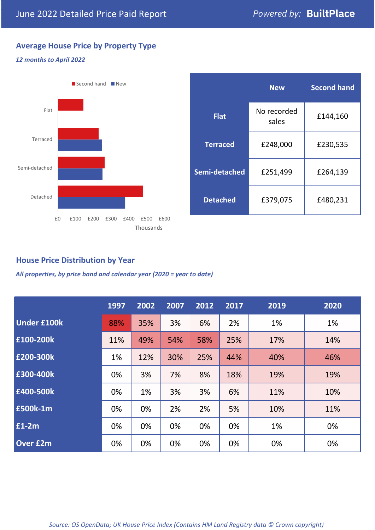## **Average House Price by Property Type**

#### *12 months to April 2022*



|                 | <b>New</b>           | <b>Second hand</b> |  |  |
|-----------------|----------------------|--------------------|--|--|
| <b>Flat</b>     | No recorded<br>sales | £144,160           |  |  |
| <b>Terraced</b> | £248,000             | £230,535           |  |  |
| Semi-detached   | £251,499             | £264,139           |  |  |
| <b>Detached</b> | £379,075             | £480,231           |  |  |

### **House Price Distribution by Year**

*All properties, by price band and calendar year (2020 = year to date)*

|                    | 1997 | 2002 | 2007 | 2012 | 2017 | 2019 | 2020 |
|--------------------|------|------|------|------|------|------|------|
| <b>Under £100k</b> | 88%  | 35%  | 3%   | 6%   | 2%   | 1%   | 1%   |
| £100-200k          | 11%  | 49%  | 54%  | 58%  | 25%  | 17%  | 14%  |
| E200-300k          | 1%   | 12%  | 30%  | 25%  | 44%  | 40%  | 46%  |
| £300-400k          | 0%   | 3%   | 7%   | 8%   | 18%  | 19%  | 19%  |
| £400-500k          | 0%   | 1%   | 3%   | 3%   | 6%   | 11%  | 10%  |
| <b>£500k-1m</b>    | 0%   | 0%   | 2%   | 2%   | 5%   | 10%  | 11%  |
| £1-2m              | 0%   | 0%   | 0%   | 0%   | 0%   | 1%   | 0%   |
| <b>Over £2m</b>    | 0%   | 0%   | 0%   | 0%   | 0%   | 0%   | 0%   |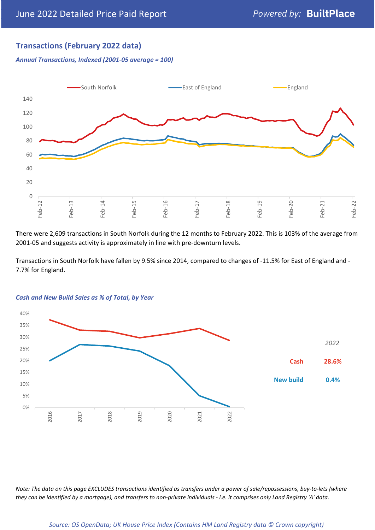### **Transactions (February 2022 data)**

*Annual Transactions, Indexed (2001-05 average = 100)*



There were 2,609 transactions in South Norfolk during the 12 months to February 2022. This is 103% of the average from 2001-05 and suggests activity is approximately in line with pre-downturn levels.

Transactions in South Norfolk have fallen by 9.5% since 2014, compared to changes of -11.5% for East of England and - 7.7% for England.



#### *Cash and New Build Sales as % of Total, by Year*

*Note: The data on this page EXCLUDES transactions identified as transfers under a power of sale/repossessions, buy-to-lets (where they can be identified by a mortgage), and transfers to non-private individuals - i.e. it comprises only Land Registry 'A' data.*